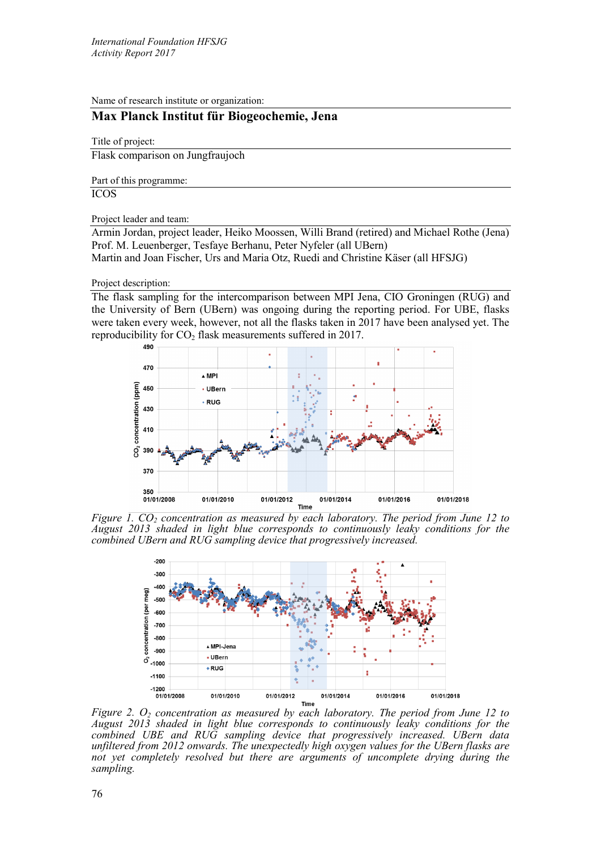Name of research institute or organization:

## **Max Planck Institut für Biogeochemie, Jena**

Title of project:

Flask comparison on Jungfraujoch

Part of this programme:

ICOS

## Project leader and team:

Armin Jordan, project leader, Heiko Moossen, Willi Brand (retired) and Michael Rothe (Jena) Prof. M. Leuenberger, Tesfaye Berhanu, Peter Nyfeler (all UBern) Martin and Joan Fischer, Urs and Maria Otz, Ruedi and Christine Käser (all HFSJG)

## Project description:

The flask sampling for the intercomparison between MPI Jena, CIO Groningen (RUG) and the University of Bern (UBern) was ongoing during the reporting period. For UBE, flasks were taken every week, however, not all the flasks taken in 2017 have been analysed yet. The reproducibility for  $CO_2$  flask measurements suffered in 2017.



*Figure 1. CO<sub>2</sub> concentration as measured by each laboratory. The period from June 12 to August 2013 shaded in light blue corresponds to continuously leaky conditions for the combined UBern and RUG sampling device that progressively increased.* 



*Figure 2. O<sub>2</sub> concentration as measured by each laboratory. The period from June 12 to August 2013 shaded in light blue corresponds to continuously leaky conditions for the combined UBE and RUG sampling device that progressively increased. UBern data unfiltered from 2012 onwards. The unexpectedly high oxygen values for the UBern flasks are not yet completely resolved but there are arguments of uncomplete drying during the sampling.*